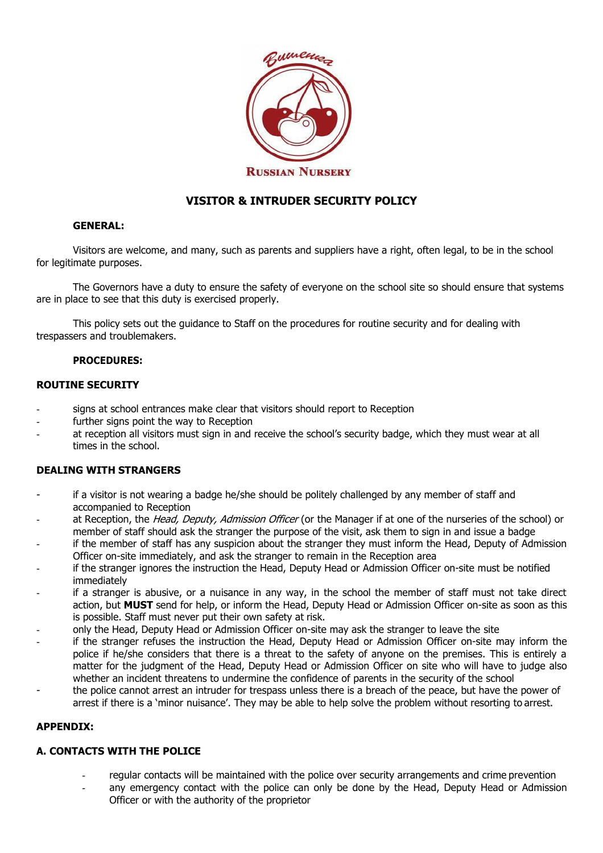

# **VISITOR & INTRUDER SECURITY POLICY**

# **GENERAL:**

Visitors are welcome, and many, such as parents and suppliers have a right, often legal, to be in the school for legitimate purposes.

The Governors have a duty to ensure the safety of everyone on the school site so should ensure that systems are in place to see that this duty is exercised properly.

This policy sets out the guidance to Staff on the procedures for routine security and for dealing with trespassers and troublemakers.

# **PROCEDURES:**

#### **ROUTINE SECURITY**

- signs at school entrances make clear that visitors should report to Reception
- further signs point the way to Reception
- at reception all visitors must sign in and receive the school's security badge, which they must wear at all times in the school.

# **DEALING WITH STRANGERS**

- if a visitor is not wearing a badge he/she should be politely challenged by any member of staff and accompanied to Reception
- at Reception, the *Head, Deputy, Admission Officer* (or the Manager if at one of the nurseries of the school) or member of staff should ask the stranger the purpose of the visit, ask them to sign in and issue a badge
- if the member of staff has any suspicion about the stranger they must inform the Head, Deputy of Admission Officer on-site immediately, and ask the stranger to remain in the Reception area
- if the stranger ignores the instruction the Head, Deputy Head or Admission Officer on-site must be notified immediately
- if a stranger is abusive, or a nuisance in any way, in the school the member of staff must not take direct action, but **MUST** send for help, or inform the Head, Deputy Head or Admission Officer on-site as soon as this is possible. Staff must never put their own safety at risk.
- only the Head, Deputy Head or Admission Officer on-site may ask the stranger to leave the site
- if the stranger refuses the instruction the Head, Deputy Head or Admission Officer on-site may inform the police if he/she considers that there is a threat to the safety of anyone on the premises. This is entirely a matter for the judgment of the Head, Deputy Head or Admission Officer on site who will have to judge also whether an incident threatens to undermine the confidence of parents in the security of the school
- the police cannot arrest an intruder for trespass unless there is a breach of the peace, but have the power of arrest if there is a 'minor nuisance'. They may be able to help solve the problem without resorting to arrest.

# **APPENDIX:**

# **A. CONTACTS WITH THE POLICE**

- regular contacts will be maintained with the police over security arrangements and crime prevention
- any emergency contact with the police can only be done by the Head, Deputy Head or Admission Officer or with the authority of the proprietor